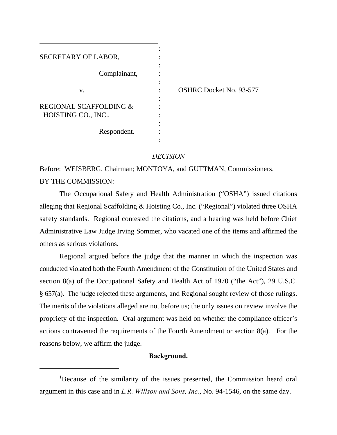| SECRETARY OF LABOR,                           |                                |
|-----------------------------------------------|--------------------------------|
| Complainant,                                  |                                |
| V.                                            | <b>OSHRC Docket No. 93-577</b> |
| REGIONAL SCAFFOLDING &<br>HOISTING CO., INC., |                                |
| Respondent.                                   |                                |

# *DECISION*

Before: WEISBERG, Chairman; MONTOYA, and GUTTMAN, Commissioners. BY THE COMMISSION:

The Occupational Safety and Health Administration ("OSHA") issued citations alleging that Regional Scaffolding & Hoisting Co., Inc. ("Regional") violated three OSHA safety standards. Regional contested the citations, and a hearing was held before Chief Administrative Law Judge Irving Sommer, who vacated one of the items and affirmed the others as serious violations.

Regional argued before the judge that the manner in which the inspection was conducted violated both the Fourth Amendment of the Constitution of the United States and section 8(a) of the Occupational Safety and Health Act of 1970 ("the Act"), 29 U.S.C. § 657(a). The judge rejected these arguments, and Regional sought review of those rulings. The merits of the violations alleged are not before us; the only issues on review involve the propriety of the inspection. Oral argument was held on whether the compliance officer's actions contravened the requirements of the Fourth Amendment or section  $8(a)$ .<sup>1</sup> For the reasons below, we affirm the judge.

# **Background.**

<sup>&</sup>lt;sup>1</sup>Because of the similarity of the issues presented, the Commission heard oral argument in this case and in *L.R. Willson and Sons, Inc.*, No. 94-1546, on the same day.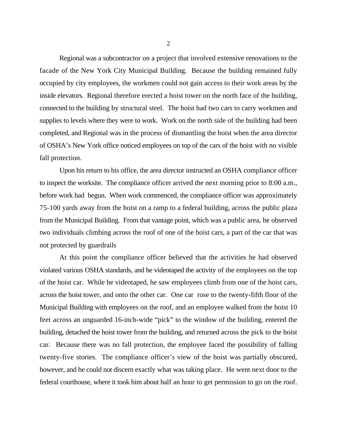Regional was a subcontractor on a project that involved extensive renovations to the facade of the New York City Municipal Building. Because the building remained fully occupied by city employees, the workmen could not gain access to their work areas by the inside elevators. Regional therefore erected a hoist tower on the north face of the building, connected to the building by structural steel. The hoist had two cars to carry workmen and supplies to levels where they were to work. Work on the north side of the building had been completed, and Regional was in the process of dismantling the hoist when the area director of OSHA's New York office noticed employees on top of the cars of the hoist with no visible fall protection.

Upon his return to his office, the area director instructed an OSHA compliance officer to inspect the worksite. The compliance officer arrived the next morning prior to 8:00 a.m., before work had begun. When work commenced, the compliance officer was approximately 75-100 yards away from the hoist on a ramp to a federal building, across the public plaza from the Municipal Building. From that vantage point, which was a public area, he observed two individuals climbing across the roof of one of the hoist cars, a part of the car that was not protected by guardrails

At this point the compliance officer believed that the activities he had observed violated various OSHA standards, and he videotaped the activity of the employees on the top of the hoist car. While he videotaped, he saw employees climb from one of the hoist cars, across the hoist tower, and onto the other car. One car rose to the twenty-fifth floor of the Municipal Building with employees on the roof, and an employee walked from the hoist 10 feet across an unguarded 16-inch-wide "pick" to the window of the building, entered the building, detached the hoist tower from the building, and returned across the pick to the hoist car. Because there was no fall protection, the employee faced the possibility of falling twenty-five stories. The compliance officer's view of the hoist was partially obscured, however, and he could not discern exactly what was taking place. He went next door to the federal courthouse, where it took him about half an hour to get permission to go on the roof.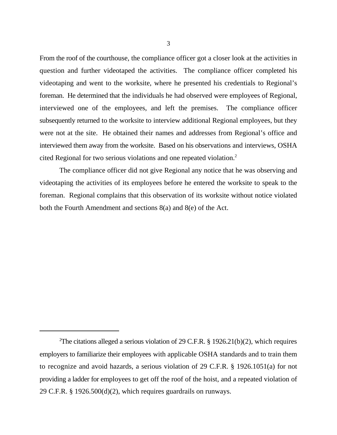From the roof of the courthouse, the compliance officer got a closer look at the activities in question and further videotaped the activities. The compliance officer completed his videotaping and went to the worksite, where he presented his credentials to Regional's foreman. He determined that the individuals he had observed were employees of Regional, interviewed one of the employees, and left the premises. The compliance officer subsequently returned to the worksite to interview additional Regional employees, but they were not at the site. He obtained their names and addresses from Regional's office and interviewed them away from the worksite. Based on his observations and interviews, OSHA cited Regional for two serious violations and one repeated violation.<sup>2</sup>

The compliance officer did not give Regional any notice that he was observing and videotaping the activities of its employees before he entered the worksite to speak to the foreman. Regional complains that this observation of its worksite without notice violated both the Fourth Amendment and sections 8(a) and 8(e) of the Act.

<sup>&</sup>lt;sup>2</sup>The citations alleged a serious violation of 29 C.F.R. § 1926.21(b)(2), which requires employers to familiarize their employees with applicable OSHA standards and to train them to recognize and avoid hazards, a serious violation of 29 C.F.R. § 1926.1051(a) for not providing a ladder for employees to get off the roof of the hoist, and a repeated violation of 29 C.F.R. § 1926.500(d)(2), which requires guardrails on runways.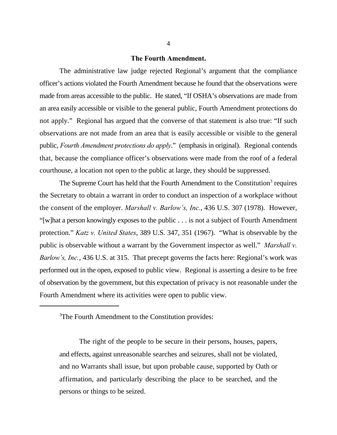# **The Fourth Amendment.**

The administrative law judge rejected Regional's argument that the compliance officer's actions violated the Fourth Amendment because he found that the observations were made from areas accessible to the public. He stated, "If OSHA's observations are made from an area easily accessible or visible to the general public, Fourth Amendment protections do not apply." Regional has argued that the converse of that statement is also true: "If such observations are not made from an area that is easily accessible or visible to the general public, *Fourth Amendment protections do apply*." (emphasis in original). Regional contends that, because the compliance officer's observations were made from the roof of a federal courthouse, a location not open to the public at large, they should be suppressed.

The Supreme Court has held that the Fourth Amendment to the Constitution<sup>3</sup> requires the Secretary to obtain a warrant in order to conduct an inspection of a workplace without the consent of the employer. *Marshall v. Barlow's, Inc.*, 436 U.S. 307 (1978). However, "[w]hat a person knowingly exposes to the public . . . is not a subject of Fourth Amendment protection." *Katz v. United States*, 389 U.S. 347, 351 (1967). "What is observable by the public is observable without a warrant by the Government inspector as well." *Marshall v. Barlow's, Inc.*, 436 U.S. at 315. That precept governs the facts here: Regional's work was performed out in the open, exposed to public view. Regional is asserting a desire to be free of observation by the government, but this expectation of privacy is not reasonable under the Fourth Amendment where its activities were open to public view.

<sup>3</sup>The Fourth Amendment to the Constitution provides:

The right of the people to be secure in their persons, houses, papers, and effects, against unreasonable searches and seizures, shall not be violated, and no Warrants shall issue, but upon probable cause, supported by Oath or affirmation, and particularly describing the place to be searched, and the persons or things to be seized.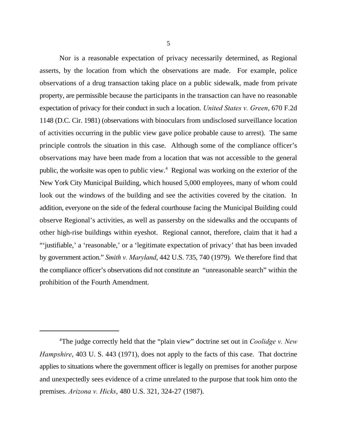Nor is a reasonable expectation of privacy necessarily determined, as Regional asserts, by the location from which the observations are made. For example, police observations of a drug transaction taking place on a public sidewalk, made from private property, are permissible because the participants in the transaction can have no reasonable expectation of privacy for their conduct in such a location. *United States v. Green*, 670 F.2d 1148 (D.C. Cir. 1981) (observations with binoculars from undisclosed surveillance location of activities occurring in the public view gave police probable cause to arrest). The same principle controls the situation in this case. Although some of the compliance officer's observations may have been made from a location that was not accessible to the general public, the worksite was open to public view.<sup> $4$ </sup> Regional was working on the exterior of the New York City Municipal Building, which housed 5,000 employees, many of whom could look out the windows of the building and see the activities covered by the citation. In addition, everyone on the side of the federal courthouse facing the Municipal Building could observe Regional's activities, as well as passersby on the sidewalks and the occupants of other high-rise buildings within eyeshot. Regional cannot, therefore, claim that it had a "'justifiable,' a 'reasonable,' or a 'legitimate expectation of privacy' that has been invaded by government action." *Smith v. Maryland*, 442 U.S. 735, 740 (1979). We therefore find that the compliance officer's observations did not constitute an "unreasonable search" within the prohibition of the Fourth Amendment.

<sup>&</sup>lt;sup>4</sup>The judge correctly held that the "plain view" doctrine set out in *Coolidge v. New Hampshire*, 403 U. S. 443 (1971), does not apply to the facts of this case. That doctrine applies to situations where the government officer is legally on premises for another purpose and unexpectedly sees evidence of a crime unrelated to the purpose that took him onto the premises. *Arizona v. Hicks*, 480 U.S. 321, 324-27 (1987).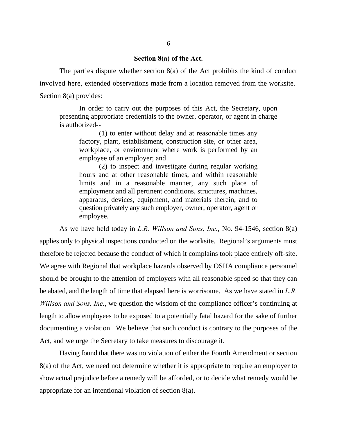# **Section 8(a) of the Act.**

The parties dispute whether section 8(a) of the Act prohibits the kind of conduct involved here, extended observations made from a location removed from the worksite. Section 8(a) provides:

In order to carry out the purposes of this Act, the Secretary, upon presenting appropriate credentials to the owner, operator, or agent in charge is authorized--

(1) to enter without delay and at reasonable times any factory, plant, establishment, construction site, or other area, workplace, or environment where work is performed by an employee of an employer; and

(2) to inspect and investigate during regular working hours and at other reasonable times, and within reasonable limits and in a reasonable manner, any such place of employment and all pertinent conditions, structures, machines, apparatus, devices, equipment, and materials therein, and to question privately any such employer, owner, operator, agent or employee.

As we have held today in *L.R. Willson and Sons, Inc.*, No. 94-1546, section 8(a) applies only to physical inspections conducted on the worksite. Regional's arguments must therefore be rejected because the conduct of which it complains took place entirely off-site. We agree with Regional that workplace hazards observed by OSHA compliance personnel should be brought to the attention of employers with all reasonable speed so that they can be abated, and the length of time that elapsed here is worrisome. As we have stated in *L.R. Willson and Sons, Inc.*, we question the wisdom of the compliance officer's continuing at length to allow employees to be exposed to a potentially fatal hazard for the sake of further documenting a violation. We believe that such conduct is contrary to the purposes of the Act, and we urge the Secretary to take measures to discourage it.

Having found that there was no violation of either the Fourth Amendment or section 8(a) of the Act, we need not determine whether it is appropriate to require an employer to show actual prejudice before a remedy will be afforded, or to decide what remedy would be appropriate for an intentional violation of section 8(a).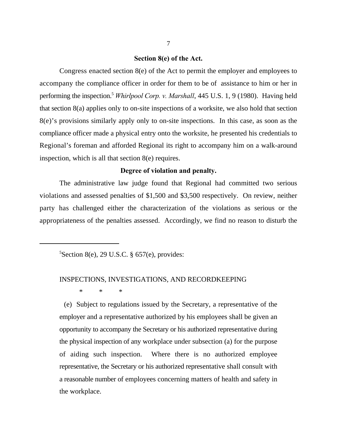# **Section 8(e) of the Act.**

Congress enacted section 8(e) of the Act to permit the employer and employees to accompany the compliance officer in order for them to be of assistance to him or her in performing the inspection.<sup>5</sup> Whirlpool Corp. v. Marshall, 445 U.S. 1, 9 (1980). Having held that section 8(a) applies only to on-site inspections of a worksite, we also hold that section 8(e)'s provisions similarly apply only to on-site inspections. In this case, as soon as the compliance officer made a physical entry onto the worksite, he presented his credentials to Regional's foreman and afforded Regional its right to accompany him on a walk-around inspection, which is all that section 8(e) requires.

#### **Degree of violation and penalty.**

The administrative law judge found that Regional had committed two serious violations and assessed penalties of \$1,500 and \$3,500 respectively. On review, neither party has challenged either the characterization of the violations as serious or the appropriateness of the penalties assessed. Accordingly, we find no reason to disturb the

 ${}^{5}$ Section 8(e), 29 U.S.C. § 657(e), provides:

# INSPECTIONS, INVESTIGATIONS, AND RECORDKEEPING

\* \* \*

 (e) Subject to regulations issued by the Secretary, a representative of the employer and a representative authorized by his employees shall be given an opportunity to accompany the Secretary or his authorized representative during the physical inspection of any workplace under subsection (a) for the purpose of aiding such inspection. Where there is no authorized employee representative, the Secretary or his authorized representative shall consult with a reasonable number of employees concerning matters of health and safety in the workplace.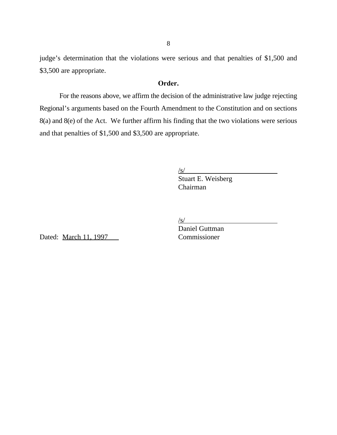judge's determination that the violations were serious and that penalties of \$1,500 and \$3,500 are appropriate.

# **Order.**

For the reasons above, we affirm the decision of the administrative law judge rejecting Regional's arguments based on the Fourth Amendment to the Constitution and on sections 8(a) and 8(e) of the Act. We further affirm his finding that the two violations were serious and that penalties of \$1,500 and \$3,500 are appropriate.

 $\sqrt{s/2}$ 

Stuart E. Weisberg Chairman

 $\sqrt{s}$ /

Dated: March 11, 1997 Commissioner

Daniel Guttman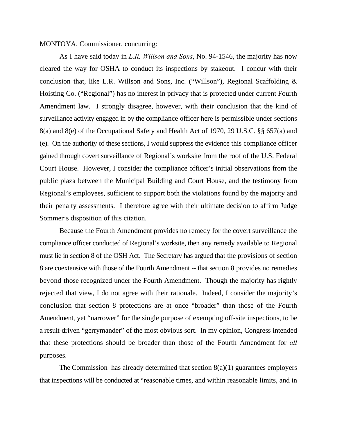# MONTOYA, Commissioner, concurring:

As I have said today in *L.R. Willson and Sons*, No. 94-1546, the majority has now cleared the way for OSHA to conduct its inspections by stakeout. I concur with their conclusion that, like L.R. Willson and Sons, Inc. ("Willson"), Regional Scaffolding & Hoisting Co. ("Regional") has no interest in privacy that is protected under current Fourth Amendment law. I strongly disagree, however, with their conclusion that the kind of surveillance activity engaged in by the compliance officer here is permissible under sections 8(a) and 8(e) of the Occupational Safety and Health Act of 1970, 29 U.S.C. §§ 657(a) and (e). On the authority of these sections, I would suppress the evidence this compliance officer gained through covert surveillance of Regional's worksite from the roof of the U.S. Federal Court House. However, I consider the compliance officer's initial observations from the public plaza between the Municipal Building and Court House, and the testimony from Regional's employees, sufficient to support both the violations found by the majority and their penalty assessments. I therefore agree with their ultimate decision to affirm Judge Sommer's disposition of this citation.

Because the Fourth Amendment provides no remedy for the covert surveillance the compliance officer conducted of Regional's worksite, then any remedy available to Regional must lie in section 8 of the OSH Act. The Secretary has argued that the provisions of section 8 are coextensive with those of the Fourth Amendment -- that section 8 provides no remedies beyond those recognized under the Fourth Amendment. Though the majority has rightly rejected that view, I do not agree with their rationale. Indeed, I consider the majority's conclusion that section 8 protections are at once "broader" than those of the Fourth Amendment, yet "narrower" for the single purpose of exempting off-site inspections, to be a result-driven "gerrymander" of the most obvious sort. In my opinion, Congress intended that these protections should be broader than those of the Fourth Amendment for *all* purposes.

The Commission has already determined that section  $8(a)(1)$  guarantees employers that inspections will be conducted at "reasonable times, and within reasonable limits, and in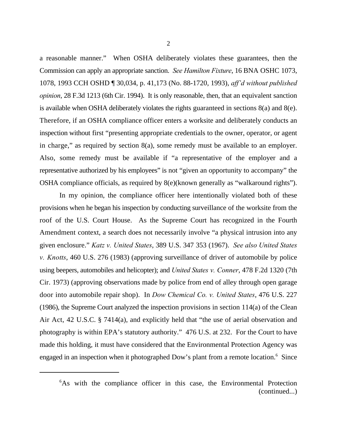a reasonable manner." When OSHA deliberately violates these guarantees, then the Commission can apply an appropriate sanction. *See Hamilton Fixture*, 16 BNA OSHC 1073, 1078, 1993 CCH OSHD ¶ 30,034, p. 41,173 (No. 88-1720, 1993), *aff'd without published opinion*, 28 F.3d 1213 (6th Cir. 1994). It is only reasonable, then, that an equivalent sanction is available when OSHA deliberately violates the rights guaranteed in sections 8(a) and 8(e). Therefore, if an OSHA compliance officer enters a worksite and deliberately conducts an inspection without first "presenting appropriate credentials to the owner, operator, or agent in charge," as required by section 8(a), some remedy must be available to an employer. Also, some remedy must be available if "a representative of the employer and a representative authorized by his employees" is not "given an opportunity to accompany" the OSHA compliance officials, as required by 8(e)(known generally as "walkaround rights").

In my opinion, the compliance officer here intentionally violated both of these provisions when he began his inspection by conducting surveillance of the worksite from the roof of the U.S. Court House. As the Supreme Court has recognized in the Fourth Amendment context, a search does not necessarily involve "a physical intrusion into any given enclosure." *Katz v. United States*, 389 U.S. 347 353 (1967). *See also United States v. Knotts*, 460 U.S. 276 (1983) (approving surveillance of driver of automobile by police using beepers, automobiles and helicopter); and *United States v. Conner*, 478 F.2d 1320 (7th Cir. 1973) (approving observations made by police from end of alley through open garage door into automobile repair shop). In *Dow Chemical Co. v. United States*, 476 U.S. 227 (1986), the Supreme Court analyzed the inspection provisions in section 114(a) of the Clean Air Act, 42 U.S.C. § 7414(a), and explicitly held that "the use of aerial observation and photography is within EPA's statutory authority." 476 U.S. at 232. For the Court to have made this holding, it must have considered that the Environmental Protection Agency was engaged in an inspection when it photographed Dow's plant from a remote location.<sup>6</sup> Since

<sup>&</sup>lt;sup>6</sup>As with the compliance officer in this case, the Environmental Protection (continued...)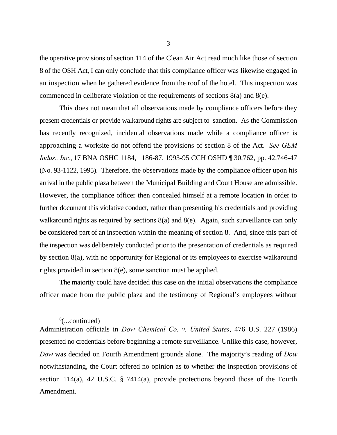the operative provisions of section 114 of the Clean Air Act read much like those of section 8 of the OSH Act, I can only conclude that this compliance officer was likewise engaged in an inspection when he gathered evidence from the roof of the hotel. This inspection was commenced in deliberate violation of the requirements of sections 8(a) and 8(e).

This does not mean that all observations made by compliance officers before they present credentials or provide walkaround rights are subject to sanction. As the Commission has recently recognized, incidental observations made while a compliance officer is approaching a worksite do not offend the provisions of section 8 of the Act. *See GEM Indus., Inc.*, 17 BNA OSHC 1184, 1186-87, 1993-95 CCH OSHD ¶ 30,762, pp. 42,746-47 (No. 93-1122, 1995). Therefore, the observations made by the compliance officer upon his arrival in the public plaza between the Municipal Building and Court House are admissible. However, the compliance officer then concealed himself at a remote location in order to further document this violative conduct, rather than presenting his credentials and providing walkaround rights as required by sections 8(a) and 8(e). Again, such surveillance can only be considered part of an inspection within the meaning of section 8. And, since this part of the inspection was deliberately conducted prior to the presentation of credentials as required by section 8(a), with no opportunity for Regional or its employees to exercise walkaround rights provided in section 8(e), some sanction must be applied.

The majority could have decided this case on the initial observations the compliance officer made from the public plaza and the testimony of Regional's employees without

 $\frac{6}{2}$ ...continued)

Administration officials in *Dow Chemical Co. v. United States*, 476 U.S. 227 (1986) presented no credentials before beginning a remote surveillance. Unlike this case, however, *Dow* was decided on Fourth Amendment grounds alone. The majority's reading of *Dow* notwithstanding, the Court offered no opinion as to whether the inspection provisions of section 114(a), 42 U.S.C. § 7414(a), provide protections beyond those of the Fourth Amendment.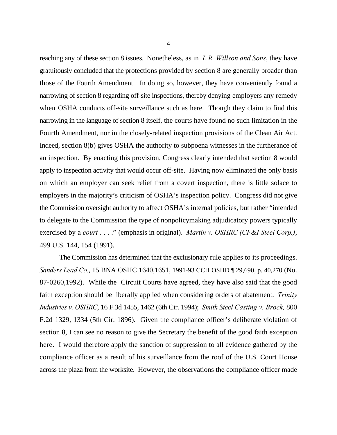reaching any of these section 8 issues. Nonetheless, as in *L.R. Willson and Sons*, they have gratuitously concluded that the protections provided by section 8 are generally broader than those of the Fourth Amendment. In doing so, however, they have conveniently found a narrowing of section 8 regarding off-site inspections, thereby denying employers any remedy when OSHA conducts off-site surveillance such as here. Though they claim to find this narrowing in the language of section 8 itself, the courts have found no such limitation in the Fourth Amendment, nor in the closely-related inspection provisions of the Clean Air Act. Indeed, section 8(b) gives OSHA the authority to subpoena witnesses in the furtherance of an inspection. By enacting this provision, Congress clearly intended that section 8 would apply to inspection activity that would occur off-site. Having now eliminated the only basis on which an employer can seek relief from a covert inspection, there is little solace to employers in the majority's criticism of OSHA's inspection policy. Congress did not give the Commission oversight authority to affect OSHA's internal policies, but rather "intended to delegate to the Commission the type of nonpolicymaking adjudicatory powers typically exercised by a *court* . . . ." (emphasis in original). *Martin v. OSHRC (CF&I Steel Corp.)*, 499 U.S. 144, 154 (1991).

The Commission has determined that the exclusionary rule applies to its proceedings. *Sanders Lead Co.*, 15 BNA OSHC 1640,1651, 1991-93 CCH OSHD ¶ 29,690, p. 40,270 (No. 87-0260,1992). While the Circuit Courts have agreed, they have also said that the good faith exception should be liberally applied when considering orders of abatement. *Trinity Industries v. OSHRC*, 16 F.3d 1455, 1462 (6th Cir. 1994); *Smith Steel Casting v. Brock,* 800 F.2d 1329, 1334 (5th Cir. 1896). Given the compliance officer's deliberate violation of section 8, I can see no reason to give the Secretary the benefit of the good faith exception here. I would therefore apply the sanction of suppression to all evidence gathered by the compliance officer as a result of his surveillance from the roof of the U.S. Court House across the plaza from the worksite. However, the observations the compliance officer made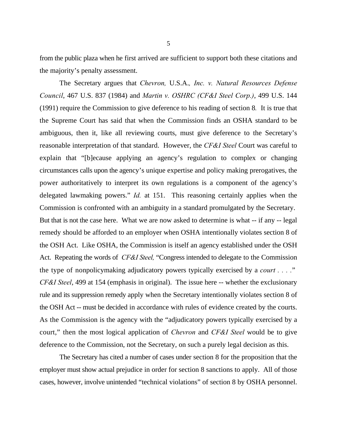from the public plaza when he first arrived are sufficient to support both these citations and the majority's penalty assessment.

The Secretary argues that *Chevron,* U.S.A.*, Inc. v. Natural Resources Defense Council*, 467 U.S. 837 (1984) and *Martin v. OSHRC (CF&I Steel Corp.)*, 499 U.S. 144 (1991) require the Commission to give deference to his reading of section 8*.* It is true that the Supreme Court has said that when the Commission finds an OSHA standard to be ambiguous, then it, like all reviewing courts, must give deference to the Secretary's reasonable interpretation of that standard. However, the *CF&I Steel* Court was careful to explain that "[b]ecause applying an agency's regulation to complex or changing circumstances calls upon the agency's unique expertise and policy making prerogatives, the power authoritatively to interpret its own regulations is a component of the agency's delegated lawmaking powers." *Id.* at 151. This reasoning certainly applies when the Commission is confronted with an ambiguity in a standard promulgated by the Secretary. But that is not the case here. What we are now asked to determine is what -- if any -- legal remedy should be afforded to an employer when OSHA intentionally violates section 8 of the OSH Act. Like OSHA, the Commission is itself an agency established under the OSH Act. Repeating the words of *CF&I Steel,* "Congress intended to delegate to the Commission the type of nonpolicymaking adjudicatory powers typically exercised by a *court . . . .*" *CF&I Steel*, 499 at 154 (emphasis in original). The issue here -- whether the exclusionary rule and its suppression remedy apply when the Secretary intentionally violates section 8 of the OSH Act -- must be decided in accordance with rules of evidence created by the courts. As the Commission is the agency with the "adjudicatory powers typically exercised by a court," then the most logical application of *Chevron* and *CF&I Steel* would be to give deference to the Commission, not the Secretary, on such a purely legal decision as this.

The Secretary has cited a number of cases under section 8 for the proposition that the employer must show actual prejudice in order for section 8 sanctions to apply. All of those cases, however, involve unintended "technical violations" of section 8 by OSHA personnel.